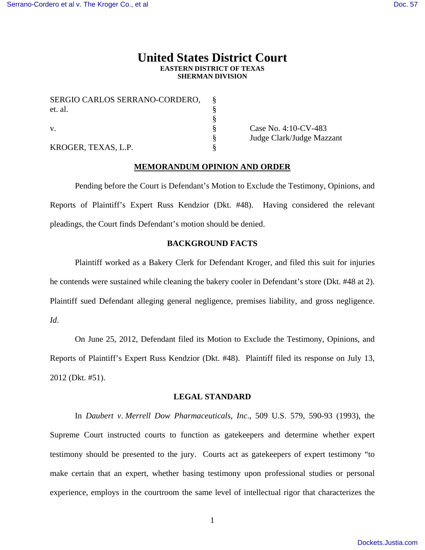# **United States District Court EASTERN DISTRICT OF TEXAS SHERMAN DIVISION**

| SERGIO CARLOS SERRANO-CORDERO, |  |
|--------------------------------|--|
| et. al.                        |  |
|                                |  |
|                                |  |
|                                |  |
| KROGER, TEXAS, L.P.            |  |

Case No. 4:10-CV-483 § Judge Clark/Judge Mazzant

# **MEMORANDUM OPINION AND ORDER**

 Pending before the Court is Defendant's Motion to Exclude the Testimony, Opinions, and Reports of Plaintiff's Expert Russ Kendzior (Dkt. #48). Having considered the relevant pleadings, the Court finds Defendant's motion should be denied.

#### **BACKGROUND FACTS**

Plaintiff worked as a Bakery Clerk for Defendant Kroger, and filed this suit for injuries he contends were sustained while cleaning the bakery cooler in Defendant's store (Dkt. #48 at 2). Plaintiff sued Defendant alleging general negligence, premises liability, and gross negligence. *Id*.

 On June 25, 2012, Defendant filed its Motion to Exclude the Testimony, Opinions, and Reports of Plaintiff's Expert Russ Kendzior (Dkt. #48). Plaintiff filed its response on July 13, 2012 (Dkt. #51).

## **LEGAL STANDARD**

In *Daubert v*. *Merrell Dow Pharmaceuticals*, *Inc*., 509 U.S. 579, 590-93 (1993), the Supreme Court instructed courts to function as gatekeepers and determine whether expert testimony should be presented to the jury. Courts act as gatekeepers of expert testimony "to make certain that an expert, whether basing testimony upon professional studies or personal experience, employs in the courtroom the same level of intellectual rigor that characterizes the

1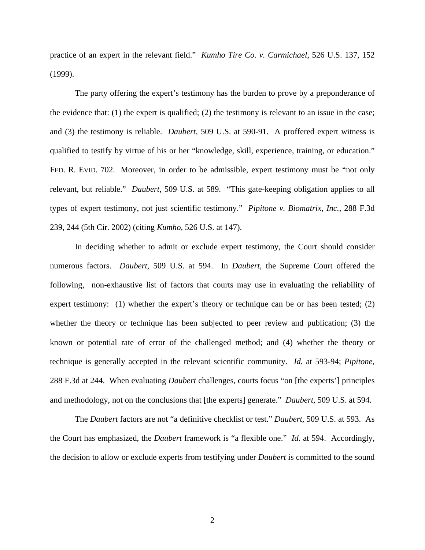practice of an expert in the relevant field." *Kumho Tire Co. v. Carmichael*, 526 U.S. 137, 152 (1999).

 The party offering the expert's testimony has the burden to prove by a preponderance of the evidence that: (1) the expert is qualified; (2) the testimony is relevant to an issue in the case; and (3) the testimony is reliable. *Daubert*, 509 U.S. at 590-91. A proffered expert witness is qualified to testify by virtue of his or her "knowledge, skill, experience, training, or education." FED. R. EVID. 702. Moreover, in order to be admissible, expert testimony must be "not only relevant, but reliable." *Daubert*, 509 U.S. at 589. "This gate-keeping obligation applies to all types of expert testimony, not just scientific testimony." *Pipitone v. Biomatrix, Inc.*, 288 F.3d 239, 244 (5th Cir. 2002) (citing *Kumho*, 526 U.S. at 147).

 In deciding whether to admit or exclude expert testimony, the Court should consider numerous factors. *Daubert*, 509 U.S. at 594. In *Daubert*, the Supreme Court offered the following, non-exhaustive list of factors that courts may use in evaluating the reliability of expert testimony: (1) whether the expert's theory or technique can be or has been tested; (2) whether the theory or technique has been subjected to peer review and publication; (3) the known or potential rate of error of the challenged method; and (4) whether the theory or technique is generally accepted in the relevant scientific community. *Id.* at 593-94; *Pipitone*, 288 F.3d at 244. When evaluating *Daubert* challenges, courts focus "on [the experts'] principles and methodology, not on the conclusions that [the experts] generate." *Daubert,* 509 U.S. at 594.

 The *Daubert* factors are not "a definitive checklist or test." *Daubert,* 509 U.S. at 593. As the Court has emphasized, the *Daubert* framework is "a flexible one." *Id*. at 594. Accordingly, the decision to allow or exclude experts from testifying under *Daubert* is committed to the sound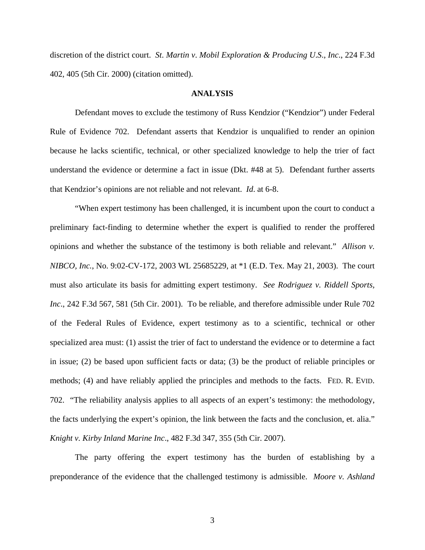discretion of the district court. *St*. *Martin v*. *Mobil Exploration & Producing U*.*S*., *Inc*., 224 F.3d 402, 405 (5th Cir. 2000) (citation omitted).

#### **ANALYSIS**

 Defendant moves to exclude the testimony of Russ Kendzior ("Kendzior") under Federal Rule of Evidence 702. Defendant asserts that Kendzior is unqualified to render an opinion because he lacks scientific, technical, or other specialized knowledge to help the trier of fact understand the evidence or determine a fact in issue (Dkt. #48 at 5). Defendant further asserts that Kendzior's opinions are not reliable and not relevant. *Id*. at 6-8.

 "When expert testimony has been challenged, it is incumbent upon the court to conduct a preliminary fact-finding to determine whether the expert is qualified to render the proffered opinions and whether the substance of the testimony is both reliable and relevant." *Allison v. NIBCO, Inc.*, No. 9:02-CV-172, 2003 WL 25685229, at \*1 (E.D. Tex. May 21, 2003). The court must also articulate its basis for admitting expert testimony. *See Rodriguez v. Riddell Sports, Inc*., 242 F.3d 567, 581 (5th Cir. 2001). To be reliable, and therefore admissible under Rule 702 of the Federal Rules of Evidence, expert testimony as to a scientific, technical or other specialized area must: (1) assist the trier of fact to understand the evidence or to determine a fact in issue; (2) be based upon sufficient facts or data; (3) be the product of reliable principles or methods; (4) and have reliably applied the principles and methods to the facts. FED. R. EVID. 702. "The reliability analysis applies to all aspects of an expert's testimony: the methodology, the facts underlying the expert's opinion, the link between the facts and the conclusion, et. alia." *Knight v. Kirby Inland Marine Inc*., 482 F.3d 347, 355 (5th Cir. 2007).

 The party offering the expert testimony has the burden of establishing by a preponderance of the evidence that the challenged testimony is admissible. *Moore v. Ashland*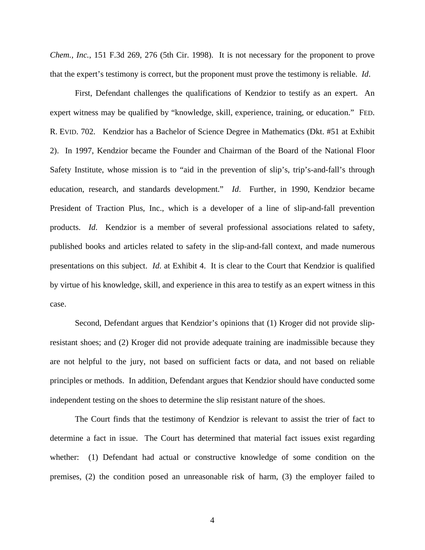*Chem., Inc.*, 151 F.3d 269, 276 (5th Cir. 1998). It is not necessary for the proponent to prove that the expert's testimony is correct, but the proponent must prove the testimony is reliable. *Id*.

 First, Defendant challenges the qualifications of Kendzior to testify as an expert. An expert witness may be qualified by "knowledge, skill, experience, training, or education." FED. R. EVID. 702. Kendzior has a Bachelor of Science Degree in Mathematics (Dkt. #51 at Exhibit 2). In 1997, Kendzior became the Founder and Chairman of the Board of the National Floor Safety Institute, whose mission is to "aid in the prevention of slip's, trip's-and-fall's through education, research, and standards development." *Id*. Further, in 1990, Kendzior became President of Traction Plus, Inc., which is a developer of a line of slip-and-fall prevention products. *Id*. Kendzior is a member of several professional associations related to safety, published books and articles related to safety in the slip-and-fall context, and made numerous presentations on this subject. *Id*. at Exhibit 4. It is clear to the Court that Kendzior is qualified by virtue of his knowledge, skill, and experience in this area to testify as an expert witness in this case.

 Second, Defendant argues that Kendzior's opinions that (1) Kroger did not provide slipresistant shoes; and (2) Kroger did not provide adequate training are inadmissible because they are not helpful to the jury, not based on sufficient facts or data, and not based on reliable principles or methods. In addition, Defendant argues that Kendzior should have conducted some independent testing on the shoes to determine the slip resistant nature of the shoes.

 The Court finds that the testimony of Kendzior is relevant to assist the trier of fact to determine a fact in issue. The Court has determined that material fact issues exist regarding whether: (1) Defendant had actual or constructive knowledge of some condition on the premises, (2) the condition posed an unreasonable risk of harm, (3) the employer failed to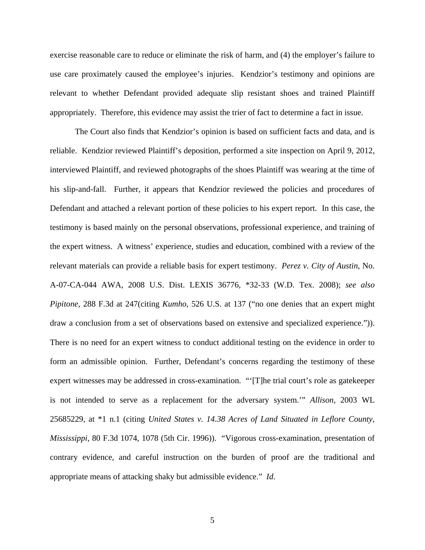exercise reasonable care to reduce or eliminate the risk of harm, and (4) the employer's failure to use care proximately caused the employee's injuries. Kendzior's testimony and opinions are relevant to whether Defendant provided adequate slip resistant shoes and trained Plaintiff appropriately. Therefore, this evidence may assist the trier of fact to determine a fact in issue.

 The Court also finds that Kendzior's opinion is based on sufficient facts and data, and is reliable. Kendzior reviewed Plaintiff's deposition, performed a site inspection on April 9, 2012, interviewed Plaintiff, and reviewed photographs of the shoes Plaintiff was wearing at the time of his slip-and-fall. Further, it appears that Kendzior reviewed the policies and procedures of Defendant and attached a relevant portion of these policies to his expert report. In this case, the testimony is based mainly on the personal observations, professional experience, and training of the expert witness. A witness' experience, studies and education, combined with a review of the relevant materials can provide a reliable basis for expert testimony. *Perez v. City of Austin*, No. A-07-CA-044 AWA, 2008 U.S. Dist. LEXIS 36776, \*32-33 (W.D. Tex. 2008); *see also Pipitone*, 288 F.3d at 247(citing *Kumho*, 526 U.S. at 137 ("no one denies that an expert might draw a conclusion from a set of observations based on extensive and specialized experience.")). There is no need for an expert witness to conduct additional testing on the evidence in order to form an admissible opinion. Further, Defendant's concerns regarding the testimony of these expert witnesses may be addressed in cross-examination. "'[T]he trial court's role as gatekeeper is not intended to serve as a replacement for the adversary system.'" *Allison,* 2003 WL 25685229, at \*1 n.1 (citing *United States v. 14.38 Acres of Land Situated in Leflore County, Mississippi*, 80 F.3d 1074, 1078 (5th Cir. 1996)). "Vigorous cross-examination, presentation of contrary evidence, and careful instruction on the burden of proof are the traditional and appropriate means of attacking shaky but admissible evidence." *Id*.